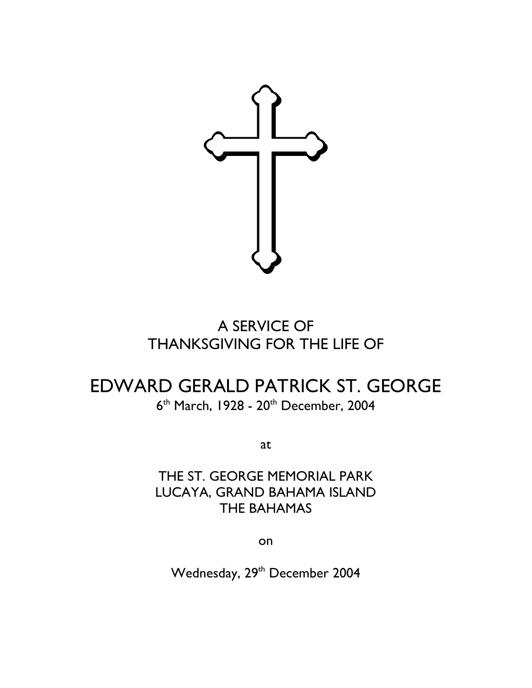

# A SERVICE OF THANKSGIVING FOR THE LIFE OF

# EDWARD GERALD PATRICK ST. GEORGE

# 6<sup>th</sup> March, 1928 - 20<sup>th</sup> December, 2004

at

# THE ST. GEORGE MEMORIAL PARK LUCAYA, GRAND BAHAMA ISLAND THE BAHAMAS

on

Wednesday, 29<sup>th</sup> December 2004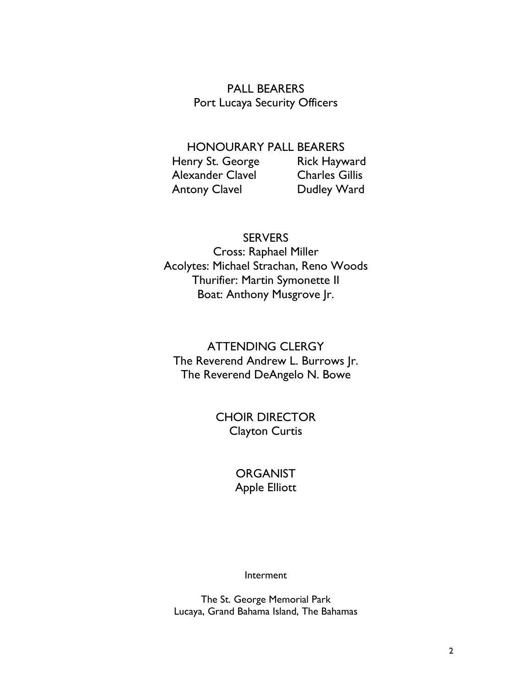PALL BEARERS Port Lucaya Security Officers

# HONOURARY PALL BEARERS

Henry St. George Rick Hayward Alexander Clavel Charles Gillis Antony Clavel Dudley Ward

# **SERVERS**

Cross: Raphael Miller Acolytes: Michael Strachan, Reno Woods Thurifier: Martin Symonette II Boat: Anthony Musgrove Jr.

# ATTENDING CLERGY The Reverend Andrew L. Burrows Jr. The Reverend DeAngelo N. Bowe

CHOIR DIRECTOR Clayton Curtis

# **ORGANIST** Apple Elliott

Interment

The St. George Memorial Park Lucaya, Grand Bahama Island, The Bahamas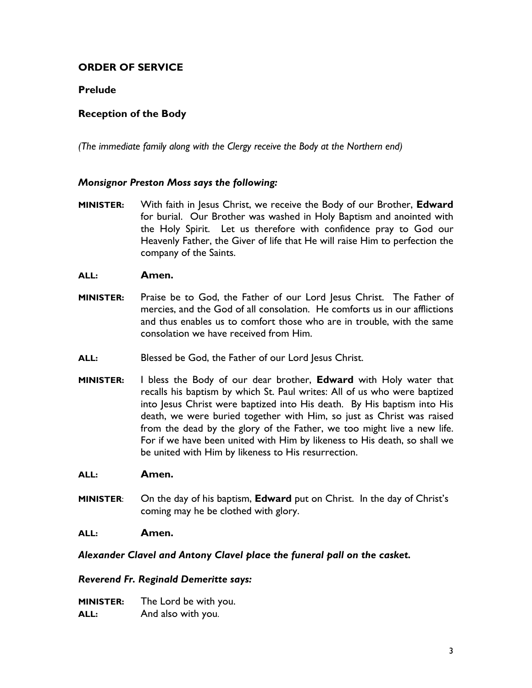# ORDER OF SERVICE

# Prelude

# Reception of the Body

(The immediate family along with the Clergy receive the Body at the Northern end)

#### Monsignor Preston Moss says the following:

**MINISTER:** With faith in Jesus Christ, we receive the Body of our Brother, Edward for burial. Our Brother was washed in Holy Baptism and anointed with the Holy Spirit. Let us therefore with confidence pray to God our Heavenly Father, the Giver of life that He will raise Him to perfection the company of the Saints.

#### ALL: Amen.

- MINISTER: Praise be to God, the Father of our Lord Jesus Christ. The Father of mercies, and the God of all consolation. He comforts us in our afflictions and thus enables us to comfort those who are in trouble, with the same consolation we have received from Him.
- ALL: Blessed be God, the Father of our Lord Jesus Christ.
- MINISTER: I bless the Body of our dear brother, Edward with Holy water that recalls his baptism by which St. Paul writes: All of us who were baptized into Jesus Christ were baptized into His death. By His baptism into His death, we were buried together with Him, so just as Christ was raised from the dead by the glory of the Father, we too might live a new life. For if we have been united with Him by likeness to His death, so shall we be united with Him by likeness to His resurrection.

#### ALL: Amen.

MINISTER: On the day of his baptism, Edward put on Christ. In the day of Christ's coming may he be clothed with glory.

#### ALL: Amen.

#### Alexander Clavel and Antony Clavel place the funeral pall on the casket.

#### Reverend Fr. Reginald Demeritte says:

| <b>MINISTER:</b> | The Lord be with you. |
|------------------|-----------------------|
| ALL:             | And also with you.    |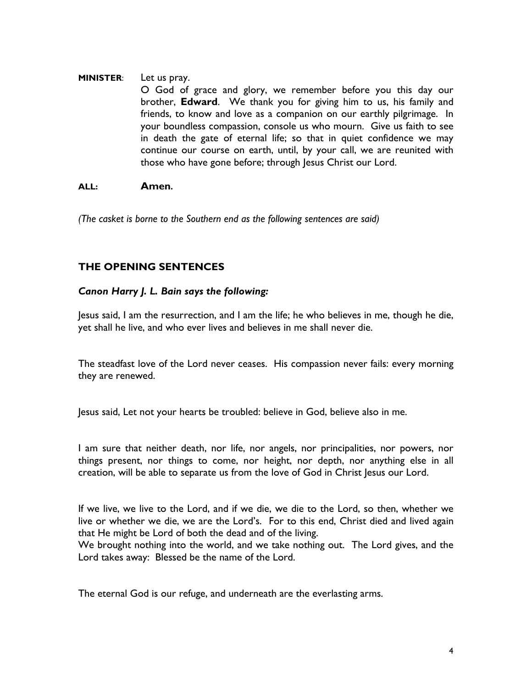#### MINISTER: Let us pray.

O God of grace and glory, we remember before you this day our brother, Edward. We thank you for giving him to us, his family and friends, to know and love as a companion on our earthly pilgrimage. In your boundless compassion, console us who mourn. Give us faith to see in death the gate of eternal life; so that in quiet confidence we may continue our course on earth, until, by your call, we are reunited with those who have gone before; through Jesus Christ our Lord.

#### ALL: Amen.

(The casket is borne to the Southern end as the following sentences are said)

# THE OPENING SENTENCES

#### Canon Harry J. L. Bain says the following:

Jesus said, I am the resurrection, and I am the life; he who believes in me, though he die, yet shall he live, and who ever lives and believes in me shall never die.

The steadfast love of the Lord never ceases. His compassion never fails: every morning they are renewed.

Jesus said, Let not your hearts be troubled: believe in God, believe also in me.

I am sure that neither death, nor life, nor angels, nor principalities, nor powers, nor things present, nor things to come, nor height, nor depth, nor anything else in all creation, will be able to separate us from the love of God in Christ Jesus our Lord.

If we live, we live to the Lord, and if we die, we die to the Lord, so then, whether we live or whether we die, we are the Lord's. For to this end, Christ died and lived again that He might be Lord of both the dead and of the living.

We brought nothing into the world, and we take nothing out. The Lord gives, and the Lord takes away: Blessed be the name of the Lord.

The eternal God is our refuge, and underneath are the everlasting arms.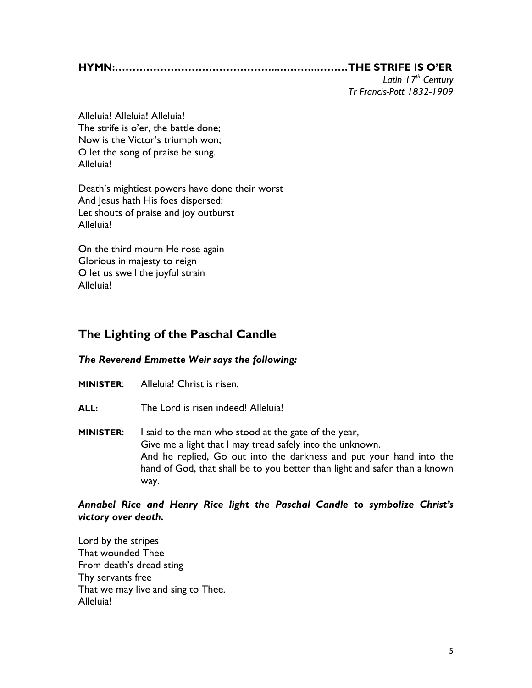# HYMN:………………………………………...………..………THE STRIFE IS O'ER

Latin  $17<sup>th</sup>$  Century Tr Francis-Pott 1832-1909

Alleluia! Alleluia! Alleluia! The strife is o'er, the battle done; Now is the Victor's triumph won; O let the song of praise be sung. Alleluia!

Death's mightiest powers have done their worst And Jesus hath His foes dispersed: Let shouts of praise and joy outburst Alleluia!

On the third mourn He rose again Glorious in majesty to reign O let us swell the joyful strain Alleluia!

# The Lighting of the Paschal Candle

# The Reverend Emmette Weir says the following:

- MINISTER: Alleluia! Christ is risen.
- ALL: The Lord is risen indeed! Alleluia!
- MINISTER: I said to the man who stood at the gate of the year, Give me a light that I may tread safely into the unknown. And he replied, Go out into the darkness and put your hand into the hand of God, that shall be to you better than light and safer than a known way.

# Annabel Rice and Henry Rice light the Paschal Candle to symbolize Christ's victory over death.

Lord by the stripes That wounded Thee From death's dread sting Thy servants free That we may live and sing to Thee. Alleluia!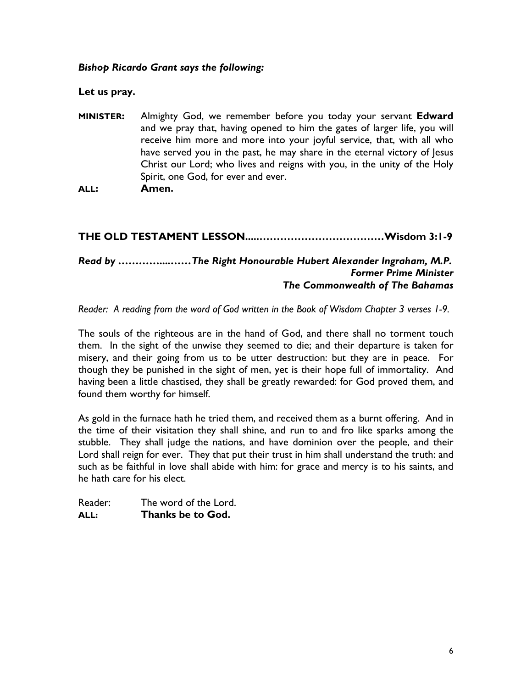# Bishop Ricardo Grant says the following:

# Let us pray.

- **MINISTER:** Almighty God, we remember before you today your servant **Edward** and we pray that, having opened to him the gates of larger life, you will receive him more and more into your joyful service, that, with all who have served you in the past, he may share in the eternal victory of Jesus Christ our Lord; who lives and reigns with you, in the unity of the Holy Spirit, one God, for ever and ever.
- ALL: Amen.

# THE OLD TESTAMENT LESSON.....………………………………Wisdom 3:1-9

# Read by …………....……The Right Honourable Hubert Alexander Ingraham, M.P. Former Prime Minister The Commonwealth of The Bahamas

Reader: A reading from the word of God written in the Book of Wisdom Chapter 3 verses 1-9.

The souls of the righteous are in the hand of God, and there shall no torment touch them. In the sight of the unwise they seemed to die; and their departure is taken for misery, and their going from us to be utter destruction: but they are in peace. For though they be punished in the sight of men, yet is their hope full of immortality. And having been a little chastised, they shall be greatly rewarded: for God proved them, and found them worthy for himself.

As gold in the furnace hath he tried them, and received them as a burnt offering. And in the time of their visitation they shall shine, and run to and fro like sparks among the stubble. They shall judge the nations, and have dominion over the people, and their Lord shall reign for ever. They that put their trust in him shall understand the truth: and such as be faithful in love shall abide with him: for grace and mercy is to his saints, and he hath care for his elect.

Reader: The word of the Lord. ALL: Thanks be to God.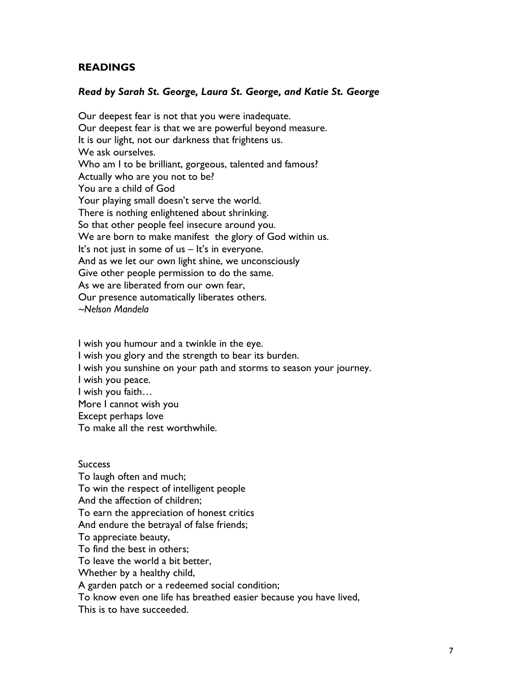# READINGS

# Read by Sarah St. George, Laura St. George, and Katie St. George

Our deepest fear is not that you were inadequate. Our deepest fear is that we are powerful beyond measure. It is our light, not our darkness that frightens us. We ask ourselves. Who am I to be brilliant, gorgeous, talented and famous? Actually who are you not to be? You are a child of God Your playing small doesn't serve the world. There is nothing enlightened about shrinking. So that other people feel insecure around you. We are born to make manifest the glory of God within us. It's not just in some of us – It's in everyone. And as we let our own light shine, we unconsciously Give other people permission to do the same. As we are liberated from our own fear, Our presence automatically liberates others. ~Nelson Mandela

I wish you humour and a twinkle in the eye. I wish you glory and the strength to bear its burden. I wish you sunshine on your path and storms to season your journey. I wish you peace. I wish you faith… More I cannot wish you Except perhaps love To make all the rest worthwhile.

**Success** To laugh often and much; To win the respect of intelligent people And the affection of children; To earn the appreciation of honest critics And endure the betrayal of false friends; To appreciate beauty, To find the best in others; To leave the world a bit better, Whether by a healthy child, A garden patch or a redeemed social condition; To know even one life has breathed easier because you have lived,

This is to have succeeded.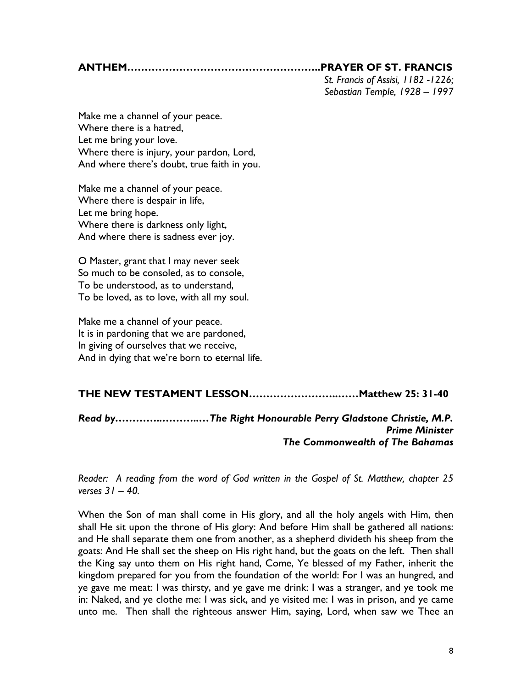ANTHEM………………………………………………..PRAYER OF ST. FRANCIS

St. Francis of Assisi, 1182 -1226; Sebastian Temple, 1928 – 1997

Make me a channel of your peace. Where there is a hatred, Let me bring your love. Where there is injury, your pardon, Lord, And where there's doubt, true faith in you.

Make me a channel of your peace. Where there is despair in life, Let me bring hope. Where there is darkness only light, And where there is sadness ever joy.

O Master, grant that I may never seek So much to be consoled, as to console, To be understood, as to understand, To be loved, as to love, with all my soul.

Make me a channel of your peace. It is in pardoning that we are pardoned, In giving of ourselves that we receive, And in dying that we're born to eternal life.

# THE NEW TESTAMENT LESSON……………………..……Matthew 25: 31-40

Read by…………..………..…The Right Honourable Perry Gladstone Christie, M.P. Prime Minister The Commonwealth of The Bahamas

Reader: A reading from the word of God written in the Gospel of St. Matthew, chapter 25 verses  $31 - 40$ .

When the Son of man shall come in His glory, and all the holy angels with Him, then shall He sit upon the throne of His glory: And before Him shall be gathered all nations: and He shall separate them one from another, as a shepherd divideth his sheep from the goats: And He shall set the sheep on His right hand, but the goats on the left. Then shall the King say unto them on His right hand, Come, Ye blessed of my Father, inherit the kingdom prepared for you from the foundation of the world: For I was an hungred, and ye gave me meat: I was thirsty, and ye gave me drink: I was a stranger, and ye took me in: Naked, and ye clothe me: I was sick, and ye visited me: I was in prison, and ye came unto me. Then shall the righteous answer Him, saying, Lord, when saw we Thee an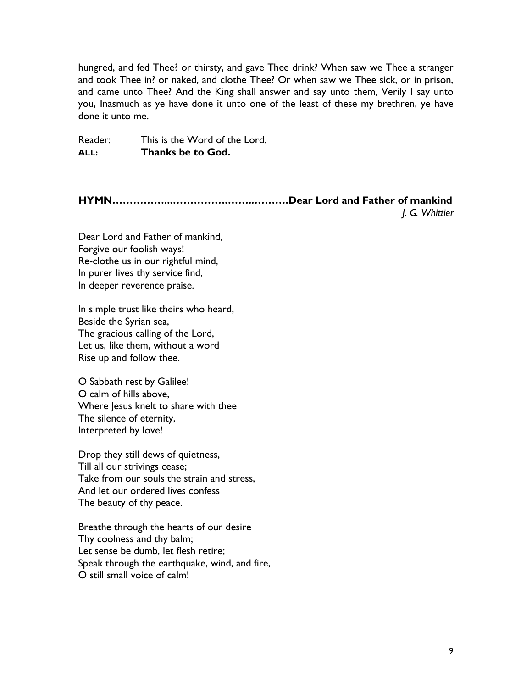hungred, and fed Thee? or thirsty, and gave Thee drink? When saw we Thee a stranger and took Thee in? or naked, and clothe Thee? Or when saw we Thee sick, or in prison, and came unto Thee? And the King shall answer and say unto them, Verily I say unto you, Inasmuch as ye have done it unto one of the least of these my brethren, ye have done it unto me.

Reader: This is the Word of the Lord. ALL: Thanks be to God.

HYMN……………...…………….……..……….Dear Lord and Father of mankind

J. G. Whittier

Dear Lord and Father of mankind, Forgive our foolish ways! Re-clothe us in our rightful mind, In purer lives thy service find, In deeper reverence praise.

In simple trust like theirs who heard, Beside the Syrian sea, The gracious calling of the Lord, Let us, like them, without a word Rise up and follow thee.

O Sabbath rest by Galilee! O calm of hills above, Where Jesus knelt to share with thee The silence of eternity, Interpreted by love!

Drop they still dews of quietness, Till all our strivings cease; Take from our souls the strain and stress, And let our ordered lives confess The beauty of thy peace.

Breathe through the hearts of our desire Thy coolness and thy balm; Let sense be dumb, let flesh retire; Speak through the earthquake, wind, and fire, O still small voice of calm!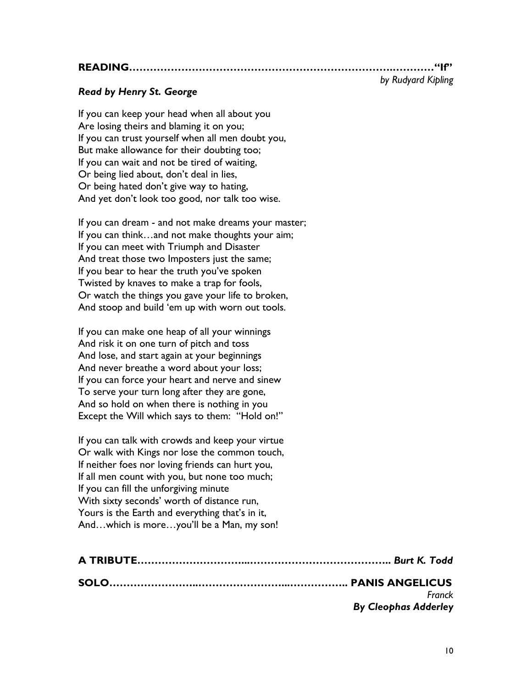READING………………………………………………………………….…………"If"

#### by Rudyard Kipling

# Read by Henry St. George

If you can keep your head when all about you Are losing theirs and blaming it on you; If you can trust yourself when all men doubt you, But make allowance for their doubting too; If you can wait and not be tired of waiting, Or being lied about, don't deal in lies, Or being hated don't give way to hating, And yet don't look too good, nor talk too wise.

If you can dream - and not make dreams your master; If you can think…and not make thoughts your aim; If you can meet with Triumph and Disaster And treat those two Imposters just the same; If you bear to hear the truth you've spoken Twisted by knaves to make a trap for fools, Or watch the things you gave your life to broken, And stoop and build 'em up with worn out tools.

If you can make one heap of all your winnings And risk it on one turn of pitch and toss And lose, and start again at your beginnings And never breathe a word about your loss; If you can force your heart and nerve and sinew To serve your turn long after they are gone, And so hold on when there is nothing in you Except the Will which says to them: "Hold on!"

If you can talk with crowds and keep your virtue Or walk with Kings nor lose the common touch, If neither foes nor loving friends can hurt you, If all men count with you, but none too much; If you can fill the unforgiving minute With sixty seconds' worth of distance run, Yours is the Earth and everything that's in it, And…which is more…you'll be a Man, my son!

| Franck                      |
|-----------------------------|
| <b>By Cleophas Adderley</b> |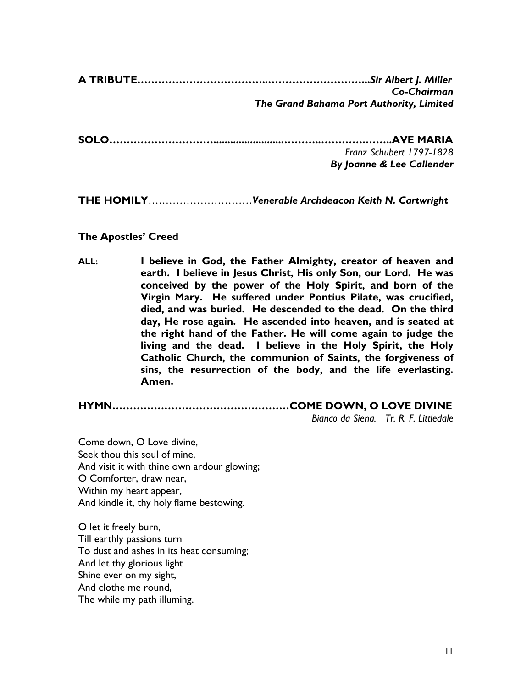A TRIBUTE………………………………..………………………...Sir Albert J. Miller Co-Chairman The Grand Bahama Port Authority, Limited

SOLO………………………….........................………..………….……..AVE MARIA

 Franz Schubert 1797-1828 By Joanne & Lee Callender

THE HOMILY…………………………Venerable Archdeacon Keith N. Cartwright

# The Apostles' Creed

ALL: I believe in God, the Father Almighty, creator of heaven and earth. I believe in Jesus Christ, His only Son, our Lord. He was conceived by the power of the Holy Spirit, and born of the Virgin Mary. He suffered under Pontius Pilate, was crucified, died, and was buried. He descended to the dead. On the third day, He rose again. He ascended into heaven, and is seated at the right hand of the Father. He will come again to judge the living and the dead. I believe in the Holy Spirit, the Holy Catholic Church, the communion of Saints, the forgiveness of sins, the resurrection of the body, and the life everlasting. Amen.

HYMN……………………………………………COME DOWN, O LOVE DIVINE

Bianco da Siena. Tr. R. F. Littledale

Come down, O Love divine, Seek thou this soul of mine, And visit it with thine own ardour glowing; O Comforter, draw near, Within my heart appear, And kindle it, thy holy flame bestowing.

O let it freely burn, Till earthly passions turn To dust and ashes in its heat consuming; And let thy glorious light Shine ever on my sight, And clothe me round, The while my path illuming.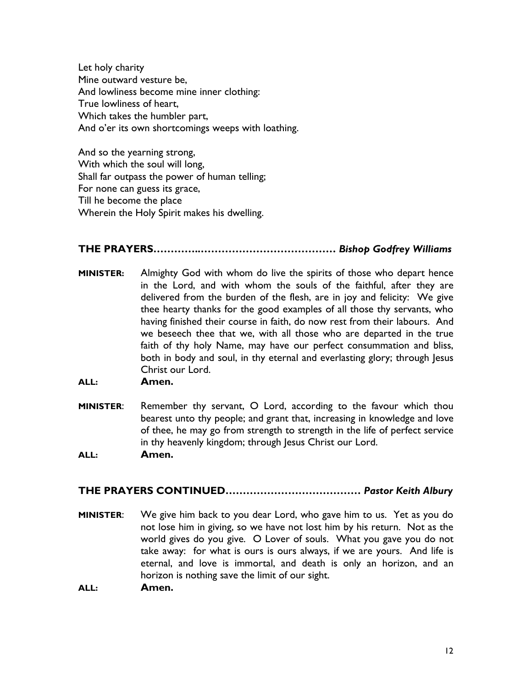Let holy charity Mine outward vesture be, And lowliness become mine inner clothing: True lowliness of heart, Which takes the humbler part, And o'er its own shortcomings weeps with loathing.

And so the yearning strong, With which the soul will long, Shall far outpass the power of human telling; For none can guess its grace, Till he become the place Wherein the Holy Spirit makes his dwelling.

# THE PRAYERS…………..………………………………… Bishop Godfrey Williams

- MINISTER: Almighty God with whom do live the spirits of those who depart hence in the Lord, and with whom the souls of the faithful, after they are delivered from the burden of the flesh, are in joy and felicity: We give thee hearty thanks for the good examples of all those thy servants, who having finished their course in faith, do now rest from their labours. And we beseech thee that we, with all those who are departed in the true faith of thy holy Name, may have our perfect consummation and bliss, both in body and soul, in thy eternal and everlasting glory; through Jesus Christ our Lord.
- ALL: Amen.
- MINISTER: Remember thy servant, O Lord, according to the favour which thou bearest unto thy people; and grant that, increasing in knowledge and love of thee, he may go from strength to strength in the life of perfect service in thy heavenly kingdom; through Jesus Christ our Lord.
- ALL: Amen.

# THE PRAYERS CONTINUED………………………………… Pastor Keith Albury

- MINISTER: We give him back to you dear Lord, who gave him to us. Yet as you do not lose him in giving, so we have not lost him by his return. Not as the world gives do you give. O Lover of souls. What you gave you do not take away: for what is ours is ours always, if we are yours. And life is eternal, and love is immortal, and death is only an horizon, and an horizon is nothing save the limit of our sight.
- ALL: Amen.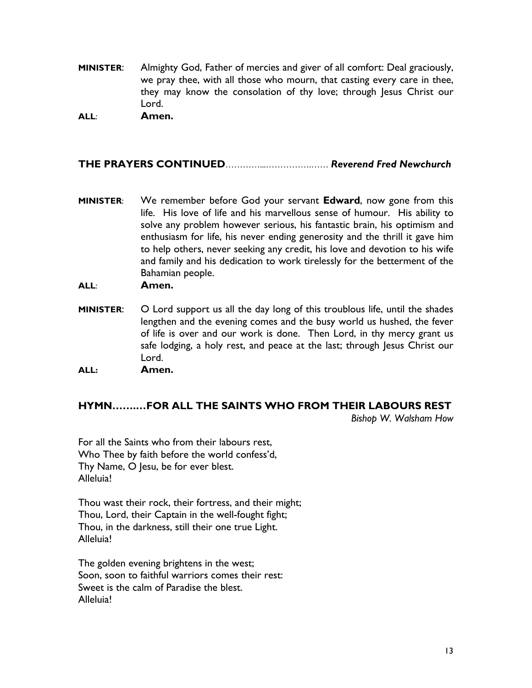- MINISTER: Almighty God, Father of mercies and giver of all comfort: Deal graciously, we pray thee, with all those who mourn, that casting every care in thee, they may know the consolation of thy love; through Jesus Christ our Lord.
- ALL: Amen.

# THE PRAYERS CONTINUED…………...…………….…… Reverend Fred Newchurch

**MINISTER:** We remember before God your servant **Edward**, now gone from this life. His love of life and his marvellous sense of humour. His ability to solve any problem however serious, his fantastic brain, his optimism and enthusiasm for life, his never ending generosity and the thrill it gave him to help others, never seeking any credit, his love and devotion to his wife and family and his dedication to work tirelessly for the betterment of the Bahamian people.

#### ALL: Amen.

MINISTER: O Lord support us all the day long of this troublous life, until the shades lengthen and the evening comes and the busy world us hushed, the fever of life is over and our work is done. Then Lord, in thy mercy grant us safe lodging, a holy rest, and peace at the last; through Jesus Christ our Lord.

ALL: Amen.

# HYMN…….…FOR ALL THE SAINTS WHO FROM THEIR LABOURS REST

Bishop W. Walsham How

For all the Saints who from their labours rest, Who Thee by faith before the world confess'd, Thy Name, O Jesu, be for ever blest. Alleluia!

Thou wast their rock, their fortress, and their might; Thou, Lord, their Captain in the well-fought fight; Thou, in the darkness, still their one true Light. Alleluia!

The golden evening brightens in the west; Soon, soon to faithful warriors comes their rest: Sweet is the calm of Paradise the blest. Alleluia!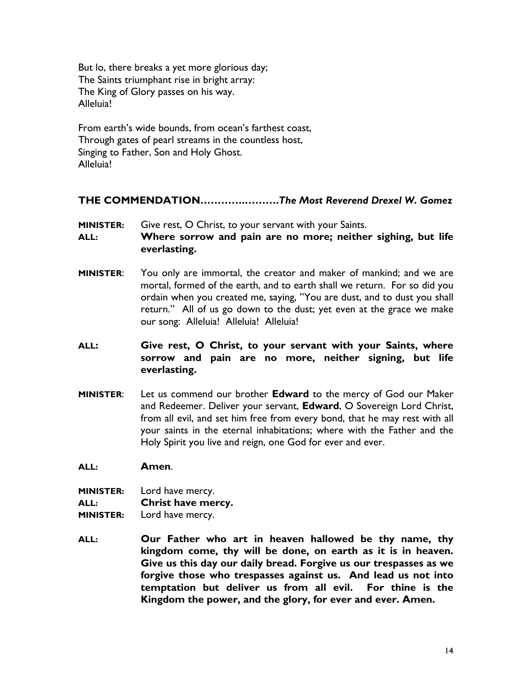But lo, there breaks a yet more glorious day; The Saints triumphant rise in bright array: The King of Glory passes on his way. Alleluia!

From earth's wide bounds, from ocean's farthest coast, Through gates of pearl streams in the countless host, Singing to Father, Son and Holy Ghost. Alleluia!

# THE COMMENDATION………….……….The Most Reverend Drexel W. Gomez

MINISTER: Give rest, O Christ, to your servant with your Saints.

ALL: Where sorrow and pain are no more; neither sighing, but life everlasting.

- MINISTER: You only are immortal, the creator and maker of mankind; and we are mortal, formed of the earth, and to earth shall we return. For so did you ordain when you created me, saying, "You are dust, and to dust you shall return." All of us go down to the dust; yet even at the grace we make our song: Alleluia! Alleluia! Alleluia!
- ALL: Give rest, O Christ, to your servant with your Saints, where sorrow and pain are no more, neither signing, but life everlasting.
- **MINISTER:** Let us commend our brother **Edward** to the mercy of God our Maker and Redeemer. Deliver your servant, Edward, O Sovereign Lord Christ, from all evil, and set him free from every bond, that he may rest with all your saints in the eternal inhabitations; where with the Father and the Holy Spirit you live and reign, one God for ever and ever.
- ALL: Amen.

| <b>MINISTER:</b> | Lord have mercy.   |
|------------------|--------------------|
| ALL:             | Christ have mercy. |
| <b>MINISTER:</b> | Lord have mercy.   |

ALL: Our Father who art in heaven hallowed be thy name, thy kingdom come, thy will be done, on earth as it is in heaven. Give us this day our daily bread. Forgive us our trespasses as we forgive those who trespasses against us. And lead us not into temptation but deliver us from all evil. For thine is the Kingdom the power, and the glory, for ever and ever. Amen.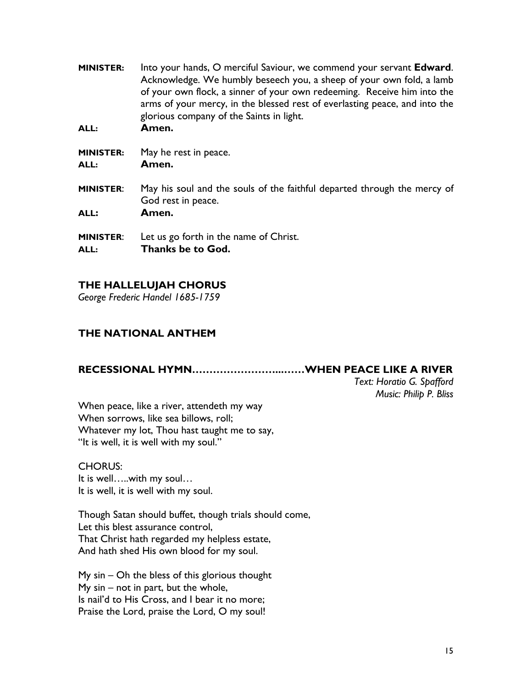MINISTER: Into your hands, O merciful Saviour, we commend your servant Edward. Acknowledge. We humbly beseech you, a sheep of your own fold, a lamb of your own flock, a sinner of your own redeeming. Receive him into the arms of your mercy, in the blessed rest of everlasting peace, and into the glorious company of the Saints in light. ALL: Amen. **MINISTER:** May he rest in peace. ALL: Amen. **MINISTER:** May his soul and the souls of the faithful departed through the mercy of God rest in peace. ALL: Amen. **MINISTER:** Let us go forth in the name of Christ. ALL: Thanks be to God.

# THE HALLELUJAH CHORUS

George Frederic Handel 1685-1759

# THE NATIONAL ANTHEM

RECESSIONAL HYMN……………………...……WHEN PEACE LIKE A RIVER

Text: Horatio G. Spafford Music: Philip P. Bliss

When peace, like a river, attendeth my way When sorrows, like sea billows, roll; Whatever my lot, Thou hast taught me to say, "It is well, it is well with my soul."

#### CHORUS:

It is well…..with my soul… It is well, it is well with my soul.

Though Satan should buffet, though trials should come, Let this blest assurance control, That Christ hath regarded my helpless estate, And hath shed His own blood for my soul.

My sin – Oh the bless of this glorious thought My sin – not in part, but the whole, Is nail'd to His Cross, and I bear it no more; Praise the Lord, praise the Lord, O my soul!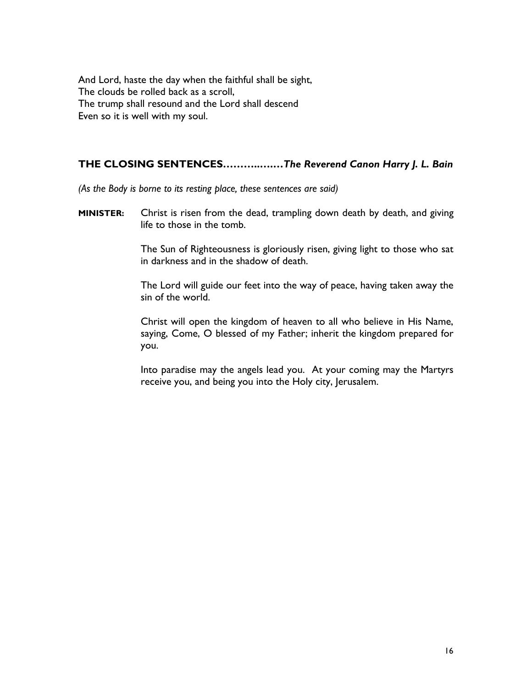And Lord, haste the day when the faithful shall be sight, The clouds be rolled back as a scroll, The trump shall resound and the Lord shall descend Even so it is well with my soul.

# THE CLOSING SENTENCES………..….…The Reverend Canon Harry J. L. Bain

(As the Body is borne to its resting place, these sentences are said)

**MINISTER:** Christ is risen from the dead, trampling down death by death, and giving life to those in the tomb.

> The Sun of Righteousness is gloriously risen, giving light to those who sat in darkness and in the shadow of death.

> The Lord will guide our feet into the way of peace, having taken away the sin of the world.

> Christ will open the kingdom of heaven to all who believe in His Name, saying, Come, O blessed of my Father; inherit the kingdom prepared for you.

> Into paradise may the angels lead you. At your coming may the Martyrs receive you, and being you into the Holy city, Jerusalem.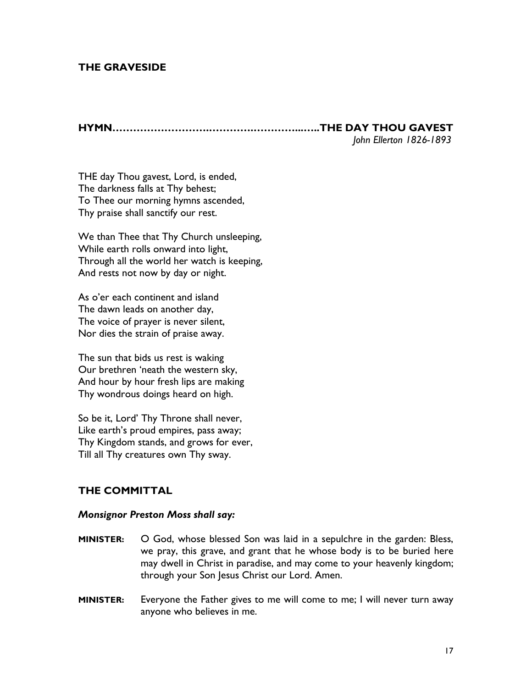# THE GRAVESIDE

# HYMN……………………….………….…………...…..THE DAY THOU GAVEST

John Ellerton 1826-1893

THE day Thou gavest, Lord, is ended, The darkness falls at Thy behest; To Thee our morning hymns ascended, Thy praise shall sanctify our rest.

We than Thee that Thy Church unsleeping, While earth rolls onward into light, Through all the world her watch is keeping, And rests not now by day or night.

As o'er each continent and island The dawn leads on another day, The voice of prayer is never silent, Nor dies the strain of praise away.

The sun that bids us rest is waking Our brethren 'neath the western sky, And hour by hour fresh lips are making Thy wondrous doings heard on high.

So be it, Lord' Thy Throne shall never, Like earth's proud empires, pass away; Thy Kingdom stands, and grows for ever, Till all Thy creatures own Thy sway.

# THE COMMITTAL

#### Monsignor Preston Moss shall say:

- MINISTER: O God, whose blessed Son was laid in a sepulchre in the garden: Bless, we pray, this grave, and grant that he whose body is to be buried here may dwell in Christ in paradise, and may come to your heavenly kingdom; through your Son Jesus Christ our Lord. Amen.
- MINISTER: Everyone the Father gives to me will come to me; I will never turn away anyone who believes in me.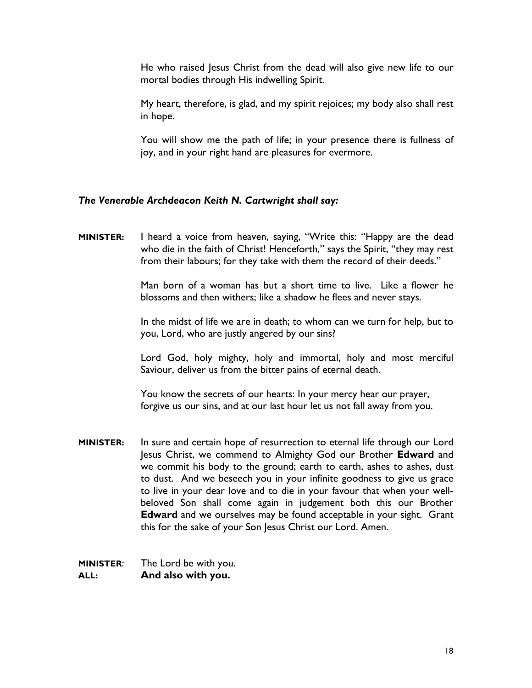He who raised Jesus Christ from the dead will also give new life to our mortal bodies through His indwelling Spirit.

My heart, therefore, is glad, and my spirit rejoices; my body also shall rest in hope.

You will show me the path of life; in your presence there is fullness of joy, and in your right hand are pleasures for evermore.

#### The Venerable Archdeacon Keith N. Cartwright shall say:

MINISTER: I heard a voice from heaven, saying, "Write this: "Happy are the dead who die in the faith of Christ! Henceforth," says the Spirit, "they may rest from their labours; for they take with them the record of their deeds."

> Man born of a woman has but a short time to live. Like a flower he blossoms and then withers; like a shadow he flees and never stays.

> In the midst of life we are in death; to whom can we turn for help, but to you, Lord, who are justly angered by our sins?

> Lord God, holy mighty, holy and immortal, holy and most merciful Saviour, deliver us from the bitter pains of eternal death.

You know the secrets of our hearts: In your mercy hear our prayer, forgive us our sins, and at our last hour let us not fall away from you.

MINISTER: In sure and certain hope of resurrection to eternal life through our Lord Jesus Christ, we commend to Almighty God our Brother Edward and we commit his body to the ground; earth to earth, ashes to ashes, dust to dust. And we beseech you in your infinite goodness to give us grace to live in your dear love and to die in your favour that when your wellbeloved Son shall come again in judgement both this our Brother Edward and we ourselves may be found acceptable in your sight. Grant this for the sake of your Son Jesus Christ our Lord. Amen.

| MINISTER: | The Lord be with you. |
|-----------|-----------------------|
| ALL:      | And also with you.    |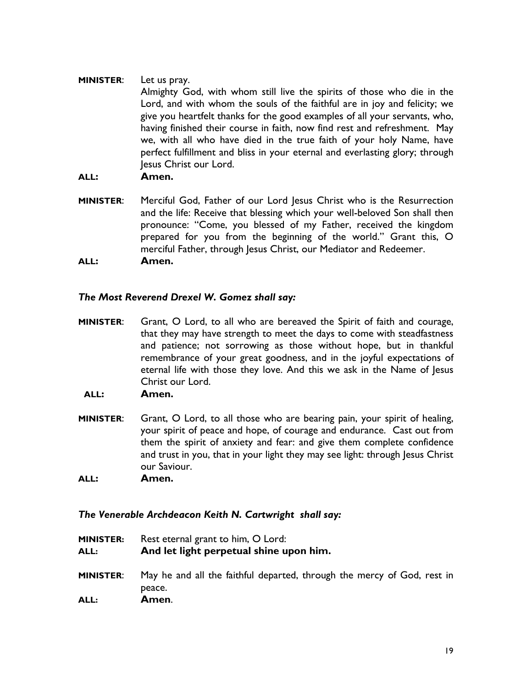#### MINISTER: Let us pray.

Almighty God, with whom still live the spirits of those who die in the Lord, and with whom the souls of the faithful are in joy and felicity; we give you heartfelt thanks for the good examples of all your servants, who, having finished their course in faith, now find rest and refreshment. May we, with all who have died in the true faith of your holy Name, have perfect fulfillment and bliss in your eternal and everlasting glory; through Jesus Christ our Lord.

#### ALL: Amen.

MINISTER: Merciful God, Father of our Lord Jesus Christ who is the Resurrection and the life: Receive that blessing which your well-beloved Son shall then pronounce: "Come, you blessed of my Father, received the kingdom prepared for you from the beginning of the world." Grant this, O merciful Father, through Jesus Christ, our Mediator and Redeemer. ALL: Amen.

#### The Most Reverend Drexel W. Gomez shall say:

MINISTER: Grant, O Lord, to all who are bereaved the Spirit of faith and courage, that they may have strength to meet the days to come with steadfastness and patience; not sorrowing as those without hope, but in thankful remembrance of your great goodness, and in the joyful expectations of eternal life with those they love. And this we ask in the Name of Jesus Christ our Lord.

#### ALL: Amen.

MINISTER: Grant, O Lord, to all those who are bearing pain, your spirit of healing, your spirit of peace and hope, of courage and endurance. Cast out from them the spirit of anxiety and fear: and give them complete confidence and trust in you, that in your light they may see light: through Jesus Christ our Saviour.

#### ALL: Amen.

#### The Venerable Archdeacon Keith N. Cartwright shall say:

MINISTER: Rest eternal grant to him, O Lord: ALL: And let light perpetual shine upon him. MINISTER: May he and all the faithful departed, through the mercy of God, rest in peace. ALL: Amen.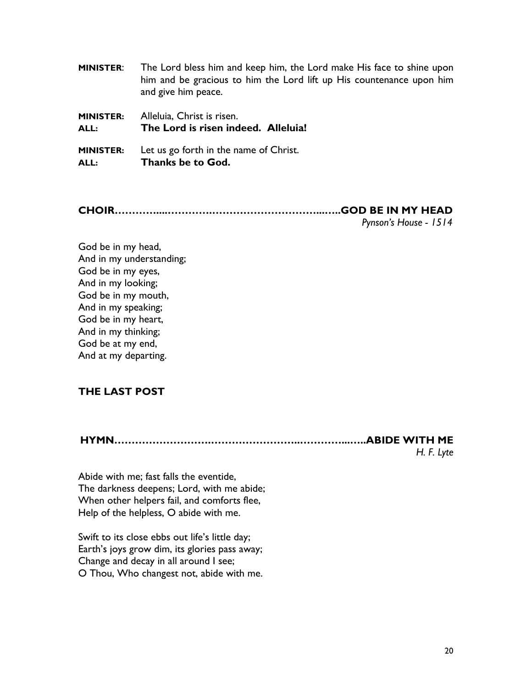**MINISTER:** The Lord bless him and keep him, the Lord make His face to shine upon him and be gracious to him the Lord lift up His countenance upon him and give him peace.

MINISTER: Alleluia, Christ is risen. ALL: The Lord is risen indeed. Alleluia! MINISTER: Let us go forth in the name of Christ. ALL: Thanks be to God.

CHOIR…………....………….…………………………...…..GOD BE IN MY HEAD

Pynson's House - 1514

God be in my head, And in my understanding; God be in my eyes, And in my looking; God be in my mouth, And in my speaking; God be in my heart, And in my thinking; God be at my end, And at my departing.

# THE LAST POST

HYMN……………………….……………………..…………...…..ABIDE WITH ME

H. F. Lyte

Abide with me; fast falls the eventide, The darkness deepens; Lord, with me abide; When other helpers fail, and comforts flee, Help of the helpless, O abide with me.

Swift to its close ebbs out life's little day; Earth's joys grow dim, its glories pass away; Change and decay in all around I see; O Thou, Who changest not, abide with me.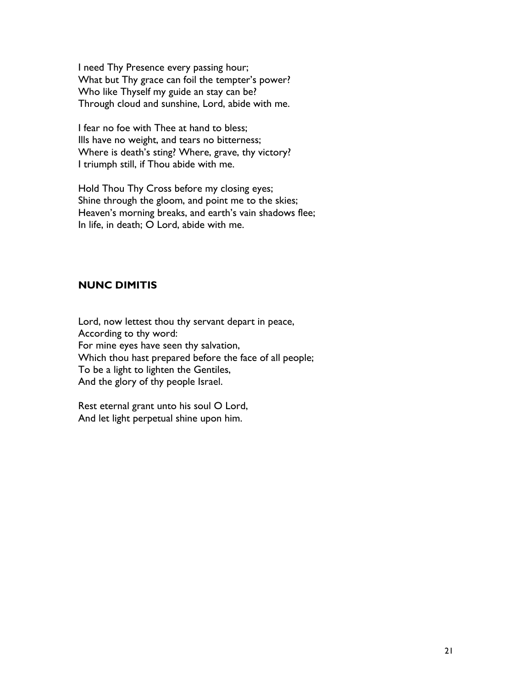I need Thy Presence every passing hour; What but Thy grace can foil the tempter's power? Who like Thyself my guide an stay can be? Through cloud and sunshine, Lord, abide with me.

I fear no foe with Thee at hand to bless; Ills have no weight, and tears no bitterness; Where is death's sting? Where, grave, thy victory? I triumph still, if Thou abide with me.

Hold Thou Thy Cross before my closing eyes; Shine through the gloom, and point me to the skies; Heaven's morning breaks, and earth's vain shadows flee; In life, in death; O Lord, abide with me.

# NUNC DIMITIS

Lord, now lettest thou thy servant depart in peace, According to thy word: For mine eyes have seen thy salvation, Which thou hast prepared before the face of all people; To be a light to lighten the Gentiles, And the glory of thy people Israel.

Rest eternal grant unto his soul O Lord, And let light perpetual shine upon him.